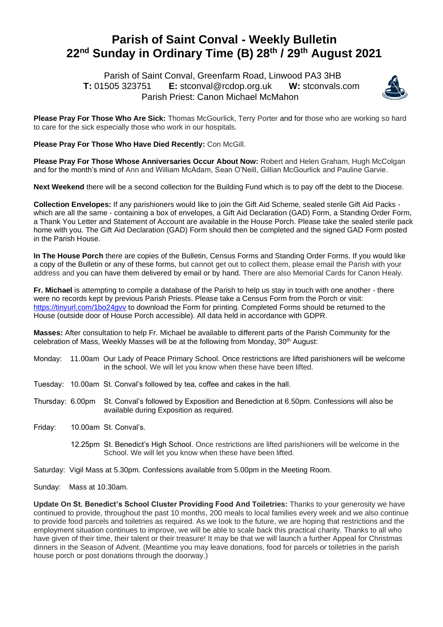## **Parish of Saint Conval - Weekly Bulletin 22 nd Sunday in Ordinary Time (B) 28 th / 29 th August 2021**

 Parish of Saint Conval, Greenfarm Road, Linwood PA3 3HB **T:** 01505 323751 **E:** [stconval@rcdop.org.uk](mailto:stconval@rcdop.org.uk) **W:** stconvals.com Parish Priest: Canon Michael McMahon



**Please Pray For Those Who Are Sick:** Thomas McGourlick, Terry Porter and for those who are working so hard to care for the sick especially those who work in our hospitals.

**Please Pray For Those Who Have Died Recently:** Con McGill.

**Please Pray For Those Whose Anniversaries Occur About Now:** Robert and Helen Graham, Hugh McColgan and for the month's mind of Ann and William McAdam, Sean O'Neill, Gillian McGourlick and Pauline Garvie.

**Next Weekend** there will be a second collection for the Building Fund which is to pay off the debt to the Diocese.

**Collection Envelopes:** If any parishioners would like to join the Gift Aid Scheme, sealed sterile Gift Aid Packs which are all the same - containing a box of envelopes, a Gift Aid Declaration (GAD) Form, a Standing Order Form, a Thank You Letter and Statement of Account are available in the House Porch. Please take the sealed sterile pack home with you. The Gift Aid Declaration (GAD) Form should then be completed and the signed GAD Form posted in the Parish House.

**In The House Porch** there are copies of the Bulletin, Census Forms and Standing Order Forms. If you would like a copy of the Bulletin or any of these forms, but cannot get out to collect them, please email the Parish with your address and you can have them delivered by email or by hand. There are also Memorial Cards for Canon Healy.

**Fr. Michael** is attempting to compile a database of the Parish to help us stay in touch with one another - there were no records kept by previous Parish Priests. Please take a Census Form from the Porch or visit: https://tinyurl.com/1bo24gyv to download the Form for printing. Completed Forms should be returned to the House (outside door of House Porch accessible). All data held in accordance with GDPR.

**Masses:** After consultation to help Fr. Michael be available to different parts of the Parish Community for the celebration of Mass, Weekly Masses will be at the following from Monday,  $30<sup>th</sup>$  August:

- Monday: 11.00am Our Lady of Peace Primary School. Once restrictions are lifted parishioners will be welcome in the school. We will let you know when these have been lifted.
- Tuesday: 10.00am St. Conval's followed by tea, coffee and cakes in the hall.
- Thursday: 6.00pm St. Conval's followed by Exposition and Benediction at 6.50pm. Confessions will also be available during Exposition as required.
- Friday: 10.00am St. Conval's.
	- 12.25pm St. Benedict's High School. Once restrictions are lifted parishioners will be welcome in the School. We will let you know when these have been lifted.
- Saturday: Vigil Mass at 5.30pm. Confessions available from 5.00pm in the Meeting Room.

Sunday: Mass at 10.30am.

**Update On St. Benedict's School Cluster Providing Food And Toiletries:** Thanks to your generosity we have continued to provide, throughout the past 10 months, 200 meals to local families every week and we also continue to provide food parcels and toiletries as required. As we look to the future, we are hoping that restrictions and the employment situation continues to improve, we will be able to scale back this practical charity. Thanks to all who have given of their time, their talent or their treasure! It may be that we will launch a further Appeal for Christmas dinners in the Season of Advent. (Meantime you may leave donations, food for parcels or toiletries in the parish house porch or post donations through the doorway.)